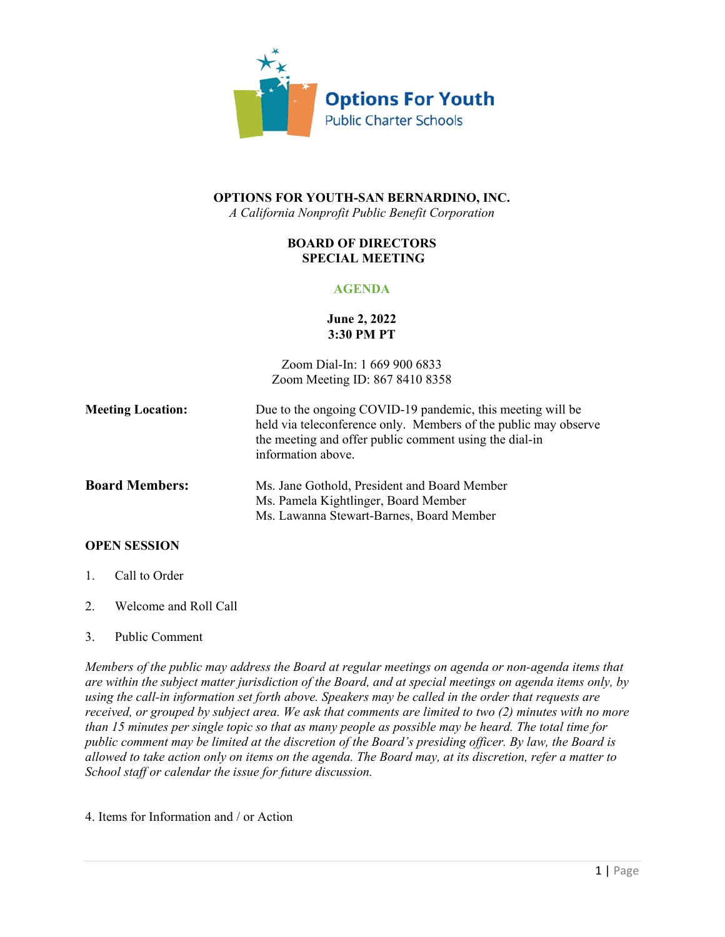

## **OPTIONS FOR YOUTH-SAN BERNARDINO, INC.**

*A California Nonprofit Public Benefit Corporation*

#### **BOARD OF DIRECTORS SPECIAL MEETING**

### **AGENDA**

#### **June 2, 2022 3:30 PM PT**

Zoom Dial-In: 1 669 900 6833 Zoom Meeting ID: 867 8410 8358

Ms. Lawanna Stewart-Barnes, Board Member

| <b>Meeting Location:</b> | Due to the ongoing COVID-19 pandemic, this meeting will be<br>held via teleconference only. Members of the public may observe<br>the meeting and offer public comment using the dial-in<br>information above. |
|--------------------------|---------------------------------------------------------------------------------------------------------------------------------------------------------------------------------------------------------------|
| <b>Board Members:</b>    | Ms. Jane Gothold, President and Board Member<br>Ms. Pamela Kightlinger, Board Member                                                                                                                          |

# **OPEN SESSION**

- 1. Call to Order
- 2. Welcome and Roll Call
- 3. Public Comment

*Members of the public may address the Board at regular meetings on agenda or non-agenda items that are within the subject matter jurisdiction of the Board, and at special meetings on agenda items only, by using the call-in information set forth above. Speakers may be called in the order that requests are received, or grouped by subject area. We ask that comments are limited to two (2) minutes with no more than 15 minutes per single topic so that as many people as possible may be heard. The total time for public comment may be limited at the discretion of the Board's presiding officer. By law, the Board is allowed to take action only on items on the agenda. The Board may, at its discretion, refer a matter to School staff or calendar the issue for future discussion.*

4. Items for Information and / or Action